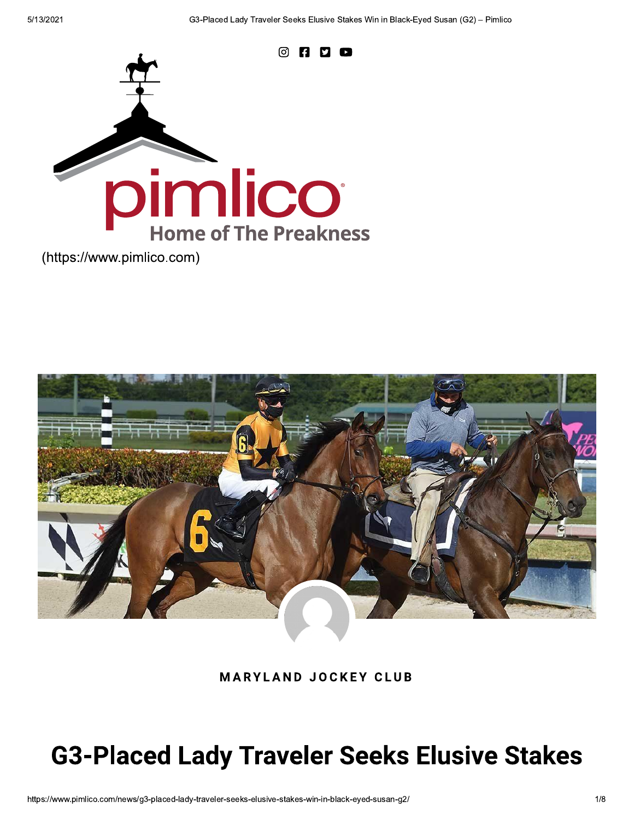

(https://www.pimlico.com)



**MARYLAND JOCKEY CLUB** 

# **G3-Placed Lady Traveler Seeks Elusive Stakes**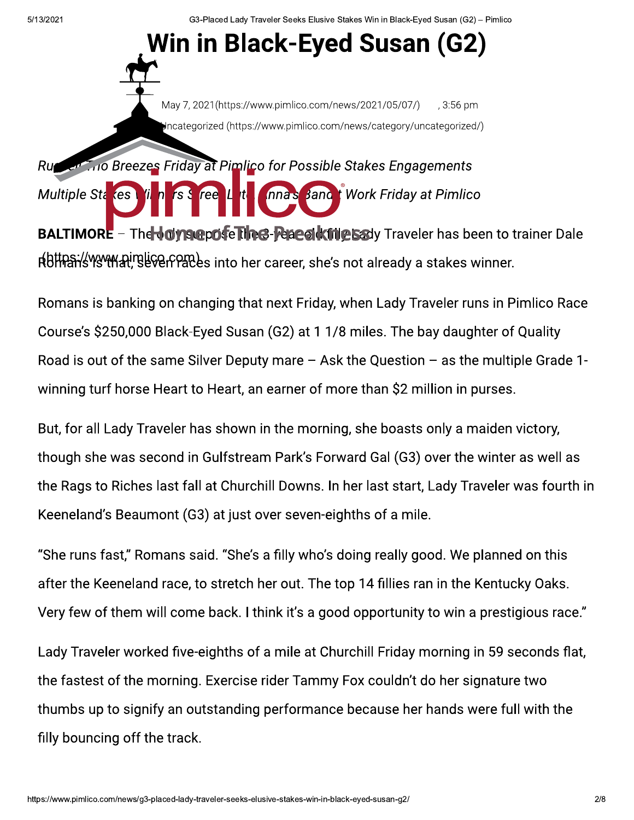G3-Placed Lady Traveler Seeks Elusive Stakes Win in Black-Eyed Susan (G2) - Pimlico

## Win in Black-Eyed Susan (G2)



#### **Contrary Breezes Friday at Pimlico for Possible Stakes Engagements** Ru

Multiple Sta (es) nnas Band t Work Friday at Pimlico ree

**BALTIMORE** - The **Joysepose The &-Peace Kinte Say** Traveler has been to trainer Dale r(bthan/swythat). BliverPaces into her career, she's not already a stakes winner.

Romans is banking on changing that next Friday, when Lady Traveler runs in Pimlico Race Course's \$250,000 Black-Eyed Susan (G2) at 1 1/8 miles. The bay daughter of Quality Road is out of the same Silver Deputy mare  $-$  Ask the Question  $-$  as the multiple Grade 1winning turf horse Heart to Heart, an earner of more than \$2 million in purses.

But, for all Lady Traveler has shown in the morning, she boasts only a maiden victory, though she was second in Gulfstream Park's Forward Gal (G3) over the winter as well as the Rags to Riches last fall at Churchill Downs. In her last start, Lady Traveler was fourth in Keeneland's Beaumont (G3) at just over seven-eighths of a mile.

"She runs fast," Romans said. "She's a filly who's doing really good. We planned on this after the Keeneland race, to stretch her out. The top 14 fillies ran in the Kentucky Oaks. Very few of them will come back. I think it's a good opportunity to win a prestigious race."

Lady Traveler worked five-eighths of a mile at Churchill Friday morning in 59 seconds flat, the fastest of the morning. Exercise rider Tammy Fox couldn't do her signature two thumbs up to signify an outstanding performance because her hands were full with the filly bouncing off the track.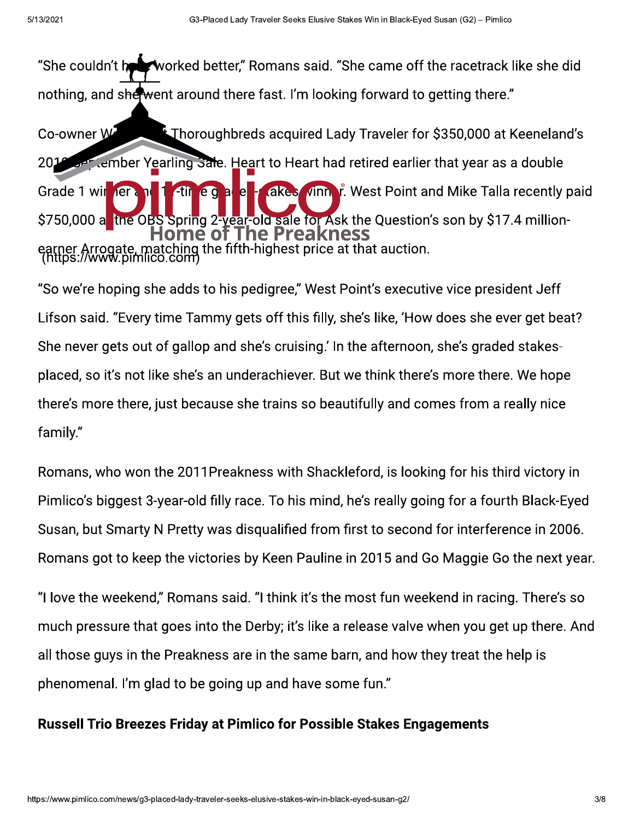worked better," Romans said. "She came off the racetrack like she did "She couldn't h∎ nothing, and shewent around there fast. I'm looking forward to getting there." E Thoroughbreds acquired Lady Traveler for \$350,000 at Keeneland's Co-owner W **Der tember Yearling Sale. Heart to Heart had retired earlier that year as a double** 2014 **Acket Vinn, r.** West Point and Mike Talla recently paid Grade 1 wir ner **411** e a e E Н \$750,000 a the OBS Spring 2-year-old sale for Ask the Question's son by \$17.4 millionie of **The Preakness** earner Arrogate, matching the fifth-highest price at that auction.<br>(https://www.pimlico.com)

"So we're hoping she adds to his pedigree," West Point's executive vice president Jeff Lifson said. "Every time Tammy gets off this filly, she's like, 'How does she ever get beat? She never gets out of gallop and she's cruising.' In the afternoon, she's graded stakesplaced, so it's not like she's an underachiever. But we think there's more there. We hope there's more there, just because she trains so beautifully and comes from a really nice family."

Romans, who won the 2011Preakness with Shackleford, is looking for his third victory in Pimlico's biggest 3-year-old filly race. To his mind, he's really going for a fourth Black-Eyed Susan, but Smarty N Pretty was disqualified from first to second for interference in 2006. Romans got to keep the victories by Keen Pauline in 2015 and Go Maggie Go the next year.

"I love the weekend," Romans said. "I think it's the most fun weekend in racing. There's so much pressure that goes into the Derby; it's like a release valve when you get up there. And all those guys in the Preakness are in the same barn, and how they treat the help is phenomenal. I'm glad to be going up and have some fun."

#### **Russell Trio Breezes Friday at Pimlico for Possible Stakes Engagements**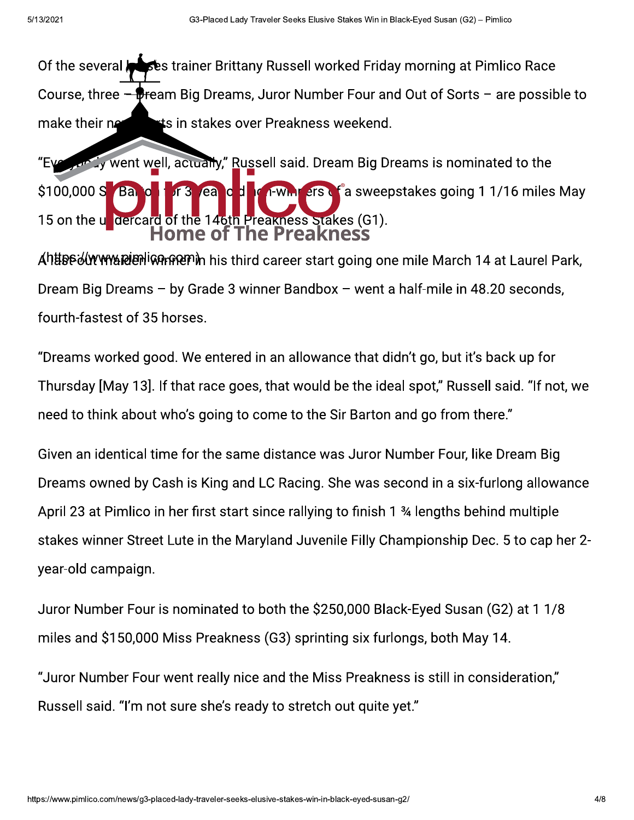Of the several **Accession** Brittany Russell worked Friday morning at Pimlico Race Course, three  $-\frac{1}{2}$  Fream Big Dreams, Juror Number Four and Out of Sorts  $-$  are possible to make their networks in stakes over Preakness weekend.

"Every arrival well, actually," Russell said. Dream Big Dreams is nominated to the \$100,000 S Bang TT3 ea c d rewm erso a sweepstakes going 1 1/16 miles May 15 on the undercard of the 146th Preakness Stakes (G1).<br>Home of The Preakness "Evention" y went well, actually," Ru<br>
S100,000 S Band of the 14oth F<br>
15 on the undercard of the 14oth F<br>
Ahtter-diversited with the 14oth F<br>
Dream Big Dreams – by Grade 3 w<br>
fourth-fastest of 35 horses.<br>
"Dreams worked g

a652/X7=/B58@19>8991489082/084@E541142/54/C789C791B861[54E0U]5/b5=416D54?G \$%&--#(#" Dream Big Dreams  $-$  by Grade 3 winner Bandbox  $-$  went a half-mile in 48.20 seconds, fourth-fastest of 35 horses.

"Dreams worked good. We entered in an allowance that didn't go, but it's back up for Thursday [May 13]. If that race goes, that would be the ideal spot," Russell said. "If not, we need to think about who's going to come to the Sir Barton and go from there."

Given an identical time for the same distance was Juror Number Four, like Dream Big Dreams owned by Cash is King and LC Racing. She was second in a six-furlong allowance April 23 at Pimlico in her first start since rallying to finish 1 34 lengths behind multiple stakes winner Street Lute in the Maryland Juvenile Filly Championship Dec. 5 to cap her 2year-old campaign.

Juror Number Four is nominated to both the \$250,000 Black-Eyed Susan (G2) at 1 1/8 miles and \$150,000 Miss Preakness (G3) sprinting six furlongs, both May 14.

"Juror Number Four went really nice and the Miss Preakness is still in consideration," Russell said. "I'm not sure she's ready to stretch out quite yet."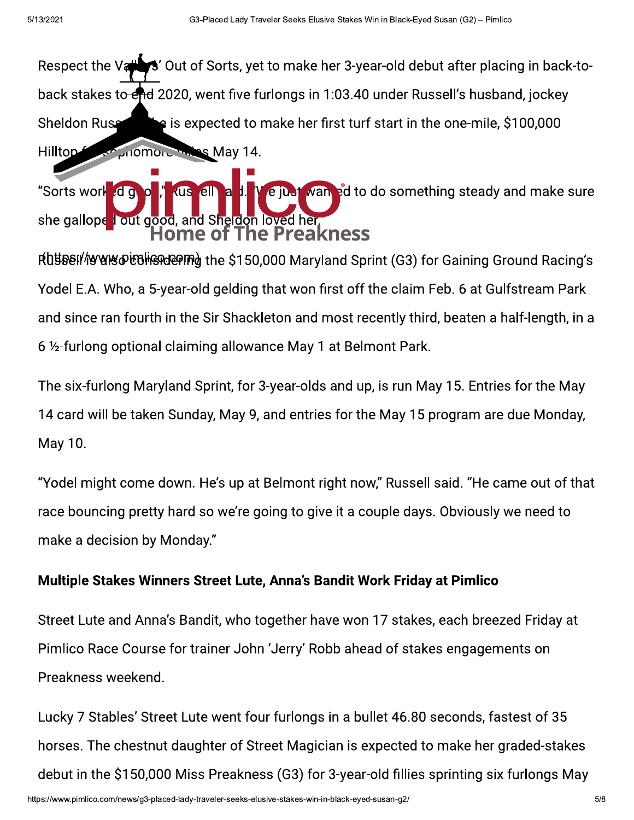S' Out of Sorts, yet to make her 3-year-old debut after placing in back-to-Respect the Va back stakes to end 2020, went five furlongs in 1:03.40 under Russell's husband, jockey **s** is expected to make her first turf start in the one-mile, \$100,000 Sheldon Ruse Hilltop-May 14.

e just wan ed to do something steady and make sure "Sorts work ell **d** q **KUS** a she galloped out good, and Sheldon loved her **The Preakness** lome **OT** 

Rutherl/werestography of the \$150,000 Maryland Sprint (G3) for Gaining Ground Racing's Yodel E.A. Who, a 5-year-old gelding that won first off the claim Feb. 6 at Gulfstream Park and since ran fourth in the Sir Shackleton and most recently third, beaten a half-length, in a 6 1/2-furlong optional claiming allowance May 1 at Belmont Park.

The six-furlong Maryland Sprint, for 3-year-olds and up, is run May 15. Entries for the May 14 card will be taken Sunday, May 9, and entries for the May 15 program are due Monday, May 10.

"Yodel might come down. He's up at Belmont right now," Russell said. "He came out of that race bouncing pretty hard so we're going to give it a couple days. Obviously we need to make a decision by Monday."

### Multiple Stakes Winners Street Lute, Anna's Bandit Work Friday at Pimlico

Street Lute and Anna's Bandit, who together have won 17 stakes, each breezed Friday at Pimlico Race Course for trainer John 'Jerry' Robb ahead of stakes engagements on Preakness weekend.

Lucky 7 Stables' Street Lute went four furlongs in a bullet 46.80 seconds, fastest of 35 horses. The chestnut daughter of Street Magician is expected to make her graded-stakes debut in the \$150,000 Miss Preakness (G3) for 3-year-old fillies sprinting six furlongs May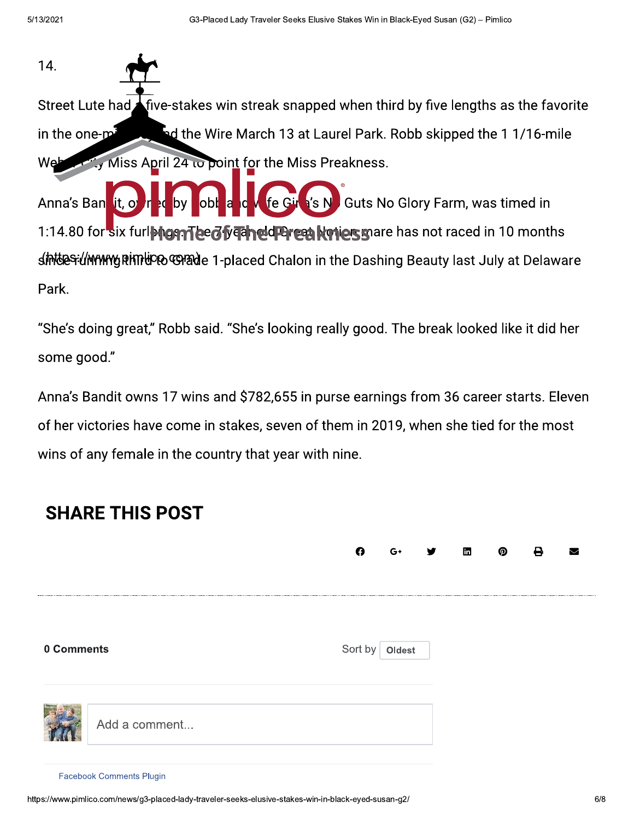14. Street Lute had **A** five-stakes win streak snapped when third by five lengths as the favorite in the one-min set of the Wire March 13 at Laurel Park. Robb skipped the 11/16-mile  $\frac{1}{2}$  Miss April 24 to point for the Miss Preakness. Anna's Ban it, ovir a by obl a c v fe Girl's N Guts No Glory Farm, was timed in 1:14.80 for six furlengen lead free leader and was not raced in 10 months s**iMteS**il**MYMYgRHTHC®©M&d**e 1-placed Chalon in the Dashing Beauty last July at Delaware In the one-minister of the Wire M<br>
Web They Miss April 24 to point f<br>
Anna's Ban<br>
1:14.80 for six furlences Theed year<br>
six furlences Theed year<br>
six furlences<br>
4<br>
She's doing great," Robb said. "Sh<br>
some good."<br>
Anna's Ba

Park.

"She's doing great," Robb said. "She's looking really good. The break looked like it did her some good."

Anna's Bandit owns 17 wins and \$782,655 in purse earnings from 36 career starts. Eleven of her victories have come in stakes, seven of them in 2019, when she tied for the most wins of any female in the country that year with nine.

### **SHARE THIS POST**

|            |                                 | O       |        | in | ட |
|------------|---------------------------------|---------|--------|----|---|
| 0 Comments |                                 | Sort by | Oldest |    |   |
|            | Add a comment                   |         |        |    |   |
|            | <b>Facebook Comments Plugin</b> |         |        |    |   |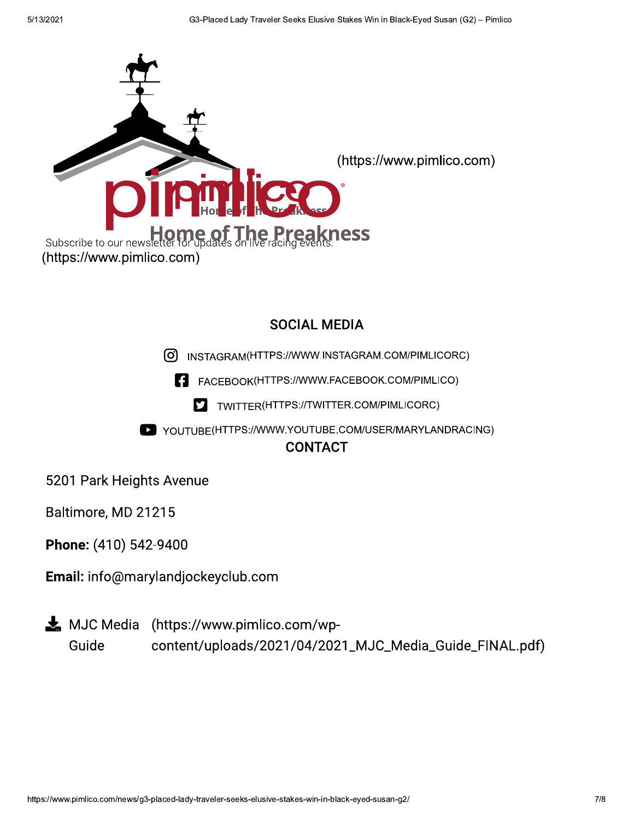

#### **SOCIAL MEDIA**

U) INSTAGRAM(HTTPS://WWW.INSTAGRAM.COM/PIMLICORC)

**S TMACHROOK(HITPS://WWW.FACEBOOK.COM/P** 

FACEBOOK(HTTPS://VWW.FACEBOOK.COM/PIMLICO)<br>LATTWITTER(HTTPS://TWITTER.COM/PIMLICORC)

W YOUTUBE(HTTPS://WWW.YOUTUBE.COM/USER/MARYLANDRACING)

5201 Park Heights Avenue

Baltimore, MD 21215

Phone: (410) 542-9400

Email: info@marylandjockeyclub.com

 $\blacktriangleright$  MJC Media (https://www.pimlico.com/wp-Guide content/uploads/2021/04/2021\_MJC\_Media\_Guide\_FINAL.pdf)